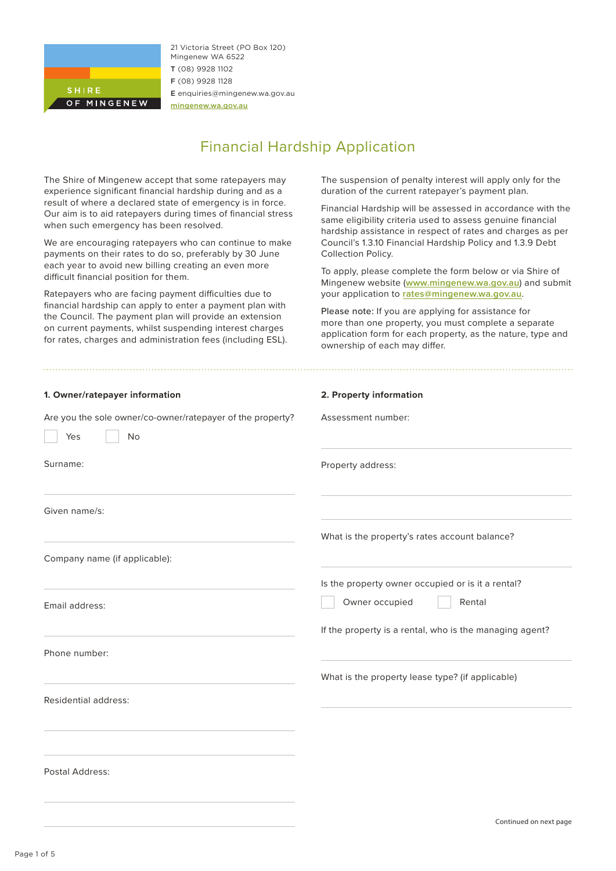

21 Victoria Street (PO Box 120) Mingenew WA 6522 T (08) 9928 1102 F (08) 9928 1128 E enquiries@mingenew.wa.gov.au mingenew.wa.gov.au

# Financial Hardship Application

The Shire of Mingenew accept that some ratepayers may experience significant financial hardship during and as a result of where a declared state of emergency is in force. Our aim is to aid ratepayers during times of financial stress when such emergency has been resolved.

We are encouraging ratepayers who can continue to make payments on their rates to do so, preferably by 30 June each year to avoid new billing creating an even more difficult financial position for them.

Ratepayers who are facing payment difficulties due to financial hardship can apply to enter a payment plan with the Council. The payment plan will provide an extension on current payments, whilst suspending interest charges for rates, charges and administration fees (including ESL). The suspension of penalty interest will apply only for the duration of the current ratepayer's payment plan.

Financial Hardship will be assessed in accordance with the same eligibility criteria used to assess genuine financial hardship assistance in respect of rates and charges as per Council's 1.3.10 Financial Hardship Policy and 1.3.9 Debt Collection Policy.

To apply, please complete the form below or via Shire of Mingenew website (**www.mingenew.wa.gov.au**) and submit your application to **rates@mingenew.wa.gov.au**.

Please note: If you are applying for assistance for more than one property, you must complete a separate application form for each property, as the nature, type and ownership of each may differ.

| 1. Owner/ratepayer information                                          | 2. Property information                                                       |
|-------------------------------------------------------------------------|-------------------------------------------------------------------------------|
| Are you the sole owner/co-owner/ratepayer of the property?<br>No<br>Yes | Assessment number:                                                            |
| Surname:                                                                | Property address:                                                             |
| Given name/s:                                                           |                                                                               |
|                                                                         | What is the property's rates account balance?                                 |
| Company name (if applicable):                                           |                                                                               |
| Email address:                                                          | Is the property owner occupied or is it a rental?<br>Owner occupied<br>Rental |
|                                                                         | If the property is a rental, who is the managing agent?                       |
| Phone number:                                                           |                                                                               |
|                                                                         | What is the property lease type? (if applicable)                              |
| Residential address:                                                    |                                                                               |
|                                                                         |                                                                               |
| Postal Address:                                                         |                                                                               |
|                                                                         |                                                                               |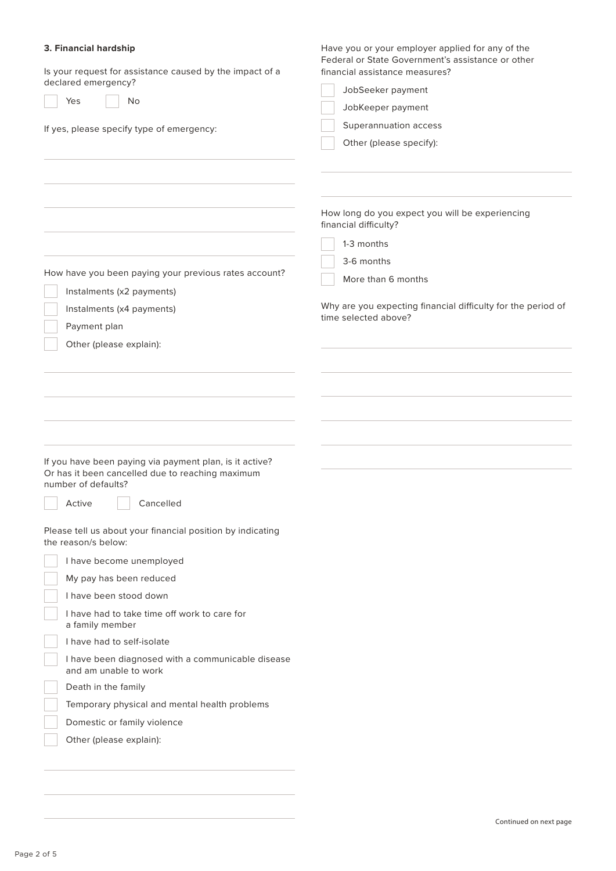# **3. Financial hardship**

| 3. Financial hardship<br>Is your request for assistance caused by the impact of a<br>declared emergency?<br><b>No</b><br>Yes<br>If yes, please specify type of emergency:                                                                                                                                                                                                                      | Have you or your employer applied for any of the<br>Federal or State Government's assistance or other<br>financial assistance measures?<br>JobSeeker payment<br>JobKeeper payment<br>Superannuation access<br>Other (please specify): |
|------------------------------------------------------------------------------------------------------------------------------------------------------------------------------------------------------------------------------------------------------------------------------------------------------------------------------------------------------------------------------------------------|---------------------------------------------------------------------------------------------------------------------------------------------------------------------------------------------------------------------------------------|
| How have you been paying your previous rates account?<br>Instalments (x2 payments)<br>Instalments (x4 payments)<br>Payment plan<br>Other (please explain):                                                                                                                                                                                                                                     | How long do you expect you will be experiencing<br>financial difficulty?<br>1-3 months<br>3-6 months<br>More than 6 months<br>Why are you expecting financial difficulty for the period of<br>time selected above?                    |
| If you have been paying via payment plan, is it active?<br>Or has it been cancelled due to reaching maximum<br>number of defaults?<br>Active<br>Cancelled<br>Please tell us about your financial position by indicating<br>the reason/s below:                                                                                                                                                 |                                                                                                                                                                                                                                       |
| I have become unemployed<br>My pay has been reduced<br>I have been stood down<br>I have had to take time off work to care for<br>a family member<br>I have had to self-isolate<br>I have been diagnosed with a communicable disease<br>and am unable to work<br>Death in the family<br>Temporary physical and mental health problems<br>Domestic or family violence<br>Other (please explain): |                                                                                                                                                                                                                                       |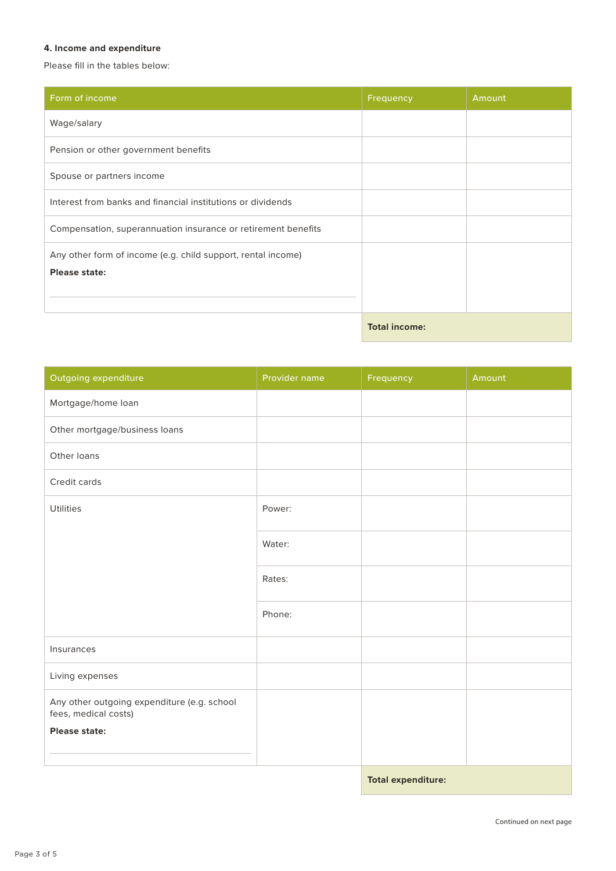# **4. Income and expenditure**

Please fill in the tables below:

| Form of income                                                | Frequency            | Amount |
|---------------------------------------------------------------|----------------------|--------|
| Wage/salary                                                   |                      |        |
| Pension or other government benefits                          |                      |        |
| Spouse or partners income                                     |                      |        |
| Interest from banks and financial institutions or dividends   |                      |        |
| Compensation, superannuation insurance or retirement benefits |                      |        |
| Any other form of income (e.g. child support, rental income)  |                      |        |
| <b>Please state:</b>                                          |                      |        |
|                                                               |                      |        |
|                                                               | <b>Total income:</b> |        |

| Outgoing expenditure                                                | Provider name | Frequency                 | Amount |
|---------------------------------------------------------------------|---------------|---------------------------|--------|
| Mortgage/home loan                                                  |               |                           |        |
| Other mortgage/business loans                                       |               |                           |        |
| Other loans                                                         |               |                           |        |
| Credit cards                                                        |               |                           |        |
| <b>Utilities</b>                                                    | Power:        |                           |        |
|                                                                     | Water:        |                           |        |
|                                                                     | Rates:        |                           |        |
|                                                                     | Phone:        |                           |        |
| Insurances                                                          |               |                           |        |
| Living expenses                                                     |               |                           |        |
| Any other outgoing expenditure (e.g. school<br>fees, medical costs) |               |                           |        |
| <b>Please state:</b>                                                |               |                           |        |
|                                                                     |               | <b>Total expenditure:</b> |        |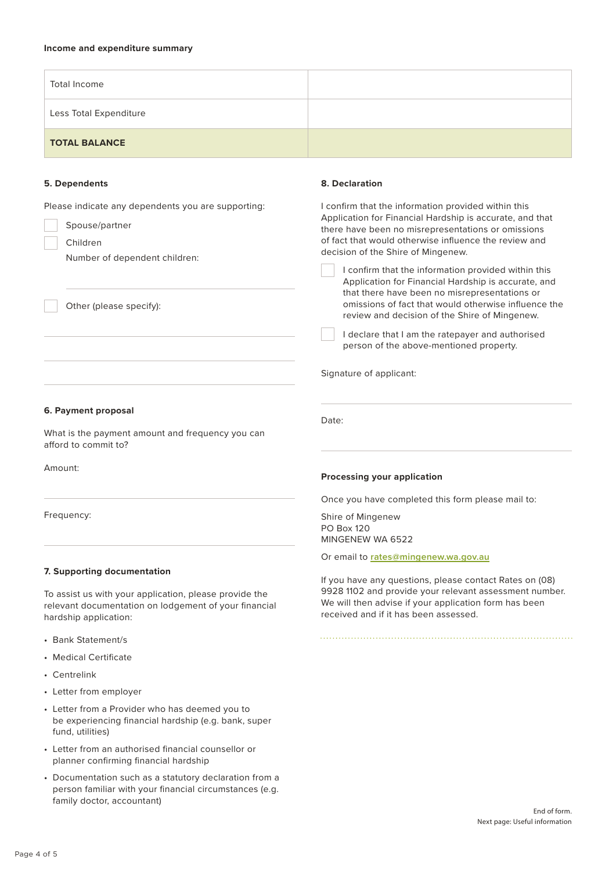#### **Income and expenditure summary**

| Total Income           |  |
|------------------------|--|
| Less Total Expenditure |  |
| <b>TOTAL BALANCE</b>   |  |

## **5. Dependents**

Please indicate any dependents you are supporting:

Spouse/partner

Children

Number of dependent children:

Other (please specify):

#### **6. Payment proposal**

What is the payment amount and frequency you can afford to commit to?

Amount:

Frequency:

# **7. Supporting documentation**

To assist us with your application, please provide the relevant documentation on lodgement of your financial hardship application:

- Bank Statement/s
- Medical Certificate
- Centrelink
- Letter from employer
- Letter from a Provider who has deemed you to be experiencing financial hardship (e.g. bank, super fund, utilities)
- Letter from an authorised financial counsellor or planner confirming financial hardship
- Documentation such as a statutory declaration from a person familiar with your financial circumstances (e.g. family doctor, accountant)

#### **8. Declaration**

I confirm that the information provided within this Application for Financial Hardship is accurate, and that there have been no misrepresentations or omissions of fact that would otherwise influence the review and decision of the Shire of Mingenew.

I confirm that the information provided within this Application for Financial Hardship is accurate, and that there have been no misrepresentations or omissions of fact that would otherwise influence the review and decision of the Shire of Mingenew.

I declare that I am the ratepayer and authorised person of the above-mentioned property.

Signature of applicant:

Date:

## **Processing your application**

Once you have completed this form please mail to:

Shire of Mingenew PO Box 120 MINGENEW WA 6522

Or email to **rates@mingenew.wa.gov.au**

If you have any questions, please contact Rates on (08) 9928 1102 and provide your relevant assessment number. We will then advise if your application form has been received and if it has been assessed.